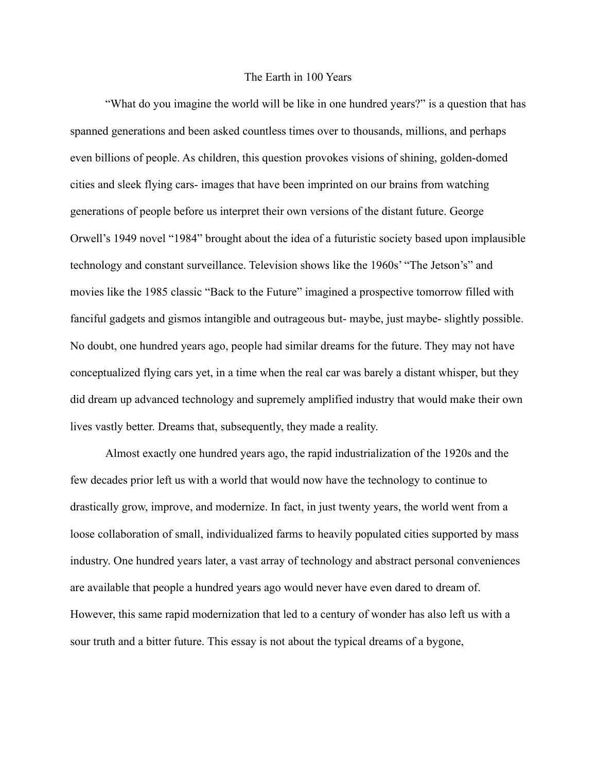## The Earth in 100 Years

"What do you imagine the world will be like in one hundred years?" is a question that has spanned generations and been asked countless times over to thousands, millions, and perhaps even billions of people. As children, this question provokes visions of shining, golden-domed cities and sleek flying cars- images that have been imprinted on our brains from watching generations of people before us interpret their own versions of the distant future. George Orwell's 1949 novel "1984" brought about the idea of a futuristic society based upon implausible technology and constant surveillance. Television shows like the 1960s' "The Jetson's" and movies like the 1985 classic "Back to the Future" imagined a prospective tomorrow filled with fanciful gadgets and gismos intangible and outrageous but- maybe, just maybe- slightly possible. No doubt, one hundred years ago, people had similar dreams for the future. They may not have conceptualized flying cars yet, in a time when the real car was barely a distant whisper, but they did dream up advanced technology and supremely amplified industry that would make their own lives vastly better. Dreams that, subsequently, they made a reality.

Almost exactly one hundred years ago, the rapid industrialization of the 1920s and the few decades prior left us with a world that would now have the technology to continue to drastically grow, improve, and modernize. In fact, in just twenty years, the world went from a loose collaboration of small, individualized farms to heavily populated cities supported by mass industry. One hundred years later, a vast array of technology and abstract personal conveniences are available that people a hundred years ago would never have even dared to dream of. However, this same rapid modernization that led to a century of wonder has also left us with a sour truth and a bitter future. This essay is not about the typical dreams of a bygone,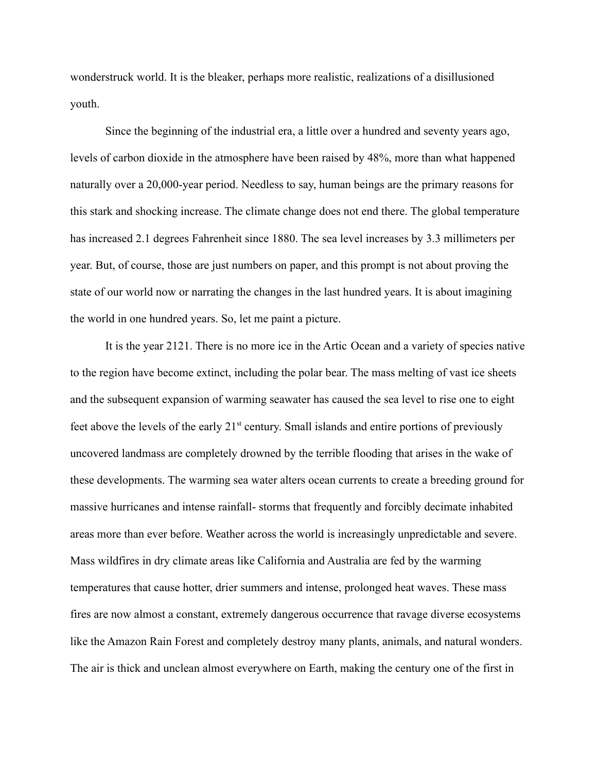wonderstruck world. It is the bleaker, perhaps more realistic, realizations of a disillusioned youth.

Since the beginning of the industrial era, a little over a hundred and seventy years ago, levels of carbon dioxide in the atmosphere have been raised by 48%, more than what happened naturally over a 20,000-year period. Needless to say, human beings are the primary reasons for this stark and shocking increase. The climate change does not end there. The global temperature has increased 2.1 degrees Fahrenheit since 1880. The sea level increases by 3.3 millimeters per year. But, of course, those are just numbers on paper, and this prompt is not about proving the state of our world now or narrating the changes in the last hundred years. It is about imagining the world in one hundred years. So, let me paint a picture.

It is the year 2121. There is no more ice in the Artic Ocean and a variety of species native to the region have become extinct, including the polar bear. The mass melting of vast ice sheets and the subsequent expansion of warming seawater has caused the sea level to rise one to eight feet above the levels of the early  $21<sup>st</sup>$  century. Small islands and entire portions of previously uncovered landmass are completely drowned by the terrible flooding that arises in the wake of these developments. The warming sea water alters ocean currents to create a breeding ground for massive hurricanes and intense rainfall- storms that frequently and forcibly decimate inhabited areas more than ever before. Weather across the world is increasingly unpredictable and severe. Mass wildfires in dry climate areas like California and Australia are fed by the warming temperatures that cause hotter, drier summers and intense, prolonged heat waves. These mass fires are now almost a constant, extremely dangerous occurrence that ravage diverse ecosystems like the Amazon Rain Forest and completely destroy many plants, animals, and natural wonders. The air is thick and unclean almost everywhere on Earth, making the century one of the first in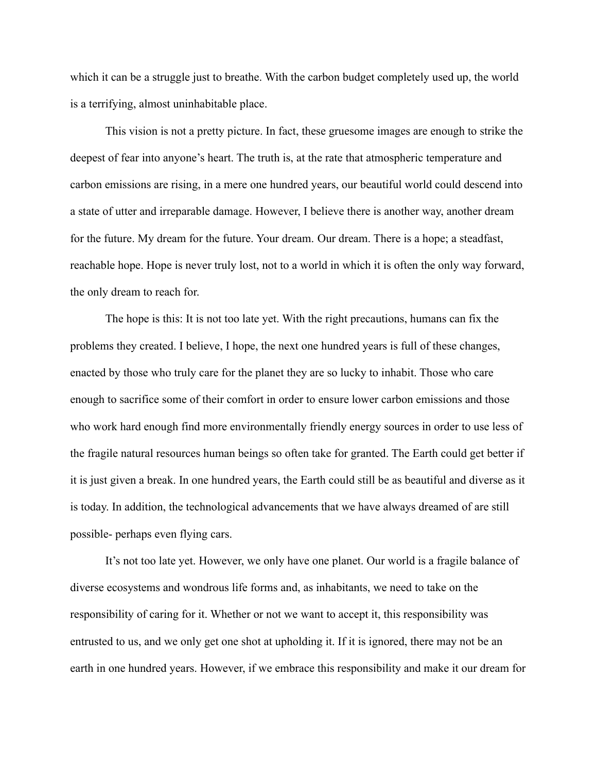which it can be a struggle just to breathe. With the carbon budget completely used up, the world is a terrifying, almost uninhabitable place.

This vision is not a pretty picture. In fact, these gruesome images are enough to strike the deepest of fear into anyone's heart. The truth is, at the rate that atmospheric temperature and carbon emissions are rising, in a mere one hundred years, our beautiful world could descend into a state of utter and irreparable damage. However, I believe there is another way, another dream for the future. My dream for the future. Your dream. Our dream. There is a hope; a steadfast, reachable hope. Hope is never truly lost, not to a world in which it is often the only way forward, the only dream to reach for.

The hope is this: It is not too late yet. With the right precautions, humans can fix the problems they created. I believe, I hope, the next one hundred years is full of these changes, enacted by those who truly care for the planet they are so lucky to inhabit. Those who care enough to sacrifice some of their comfort in order to ensure lower carbon emissions and those who work hard enough find more environmentally friendly energy sources in order to use less of the fragile natural resources human beings so often take for granted. The Earth could get better if it is just given a break. In one hundred years, the Earth could still be as beautiful and diverse as it is today. In addition, the technological advancements that we have always dreamed of are still possible- perhaps even flying cars.

It's not too late yet. However, we only have one planet. Our world is a fragile balance of diverse ecosystems and wondrous life forms and, as inhabitants, we need to take on the responsibility of caring for it. Whether or not we want to accept it, this responsibility was entrusted to us, and we only get one shot at upholding it. If it is ignored, there may not be an earth in one hundred years. However, if we embrace this responsibility and make it our dream for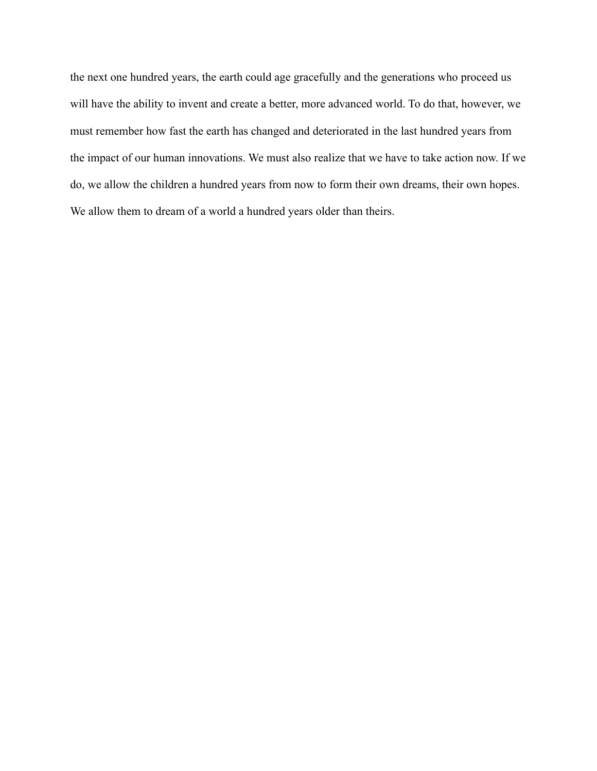the next one hundred years, the earth could age gracefully and the generations who proceed us will have the ability to invent and create a better, more advanced world. To do that, however, we must remember how fast the earth has changed and deteriorated in the last hundred years from the impact of our human innovations. We must also realize that we have to take action now. If we do, we allow the children a hundred years from now to form their own dreams, their own hopes. We allow them to dream of a world a hundred years older than theirs.